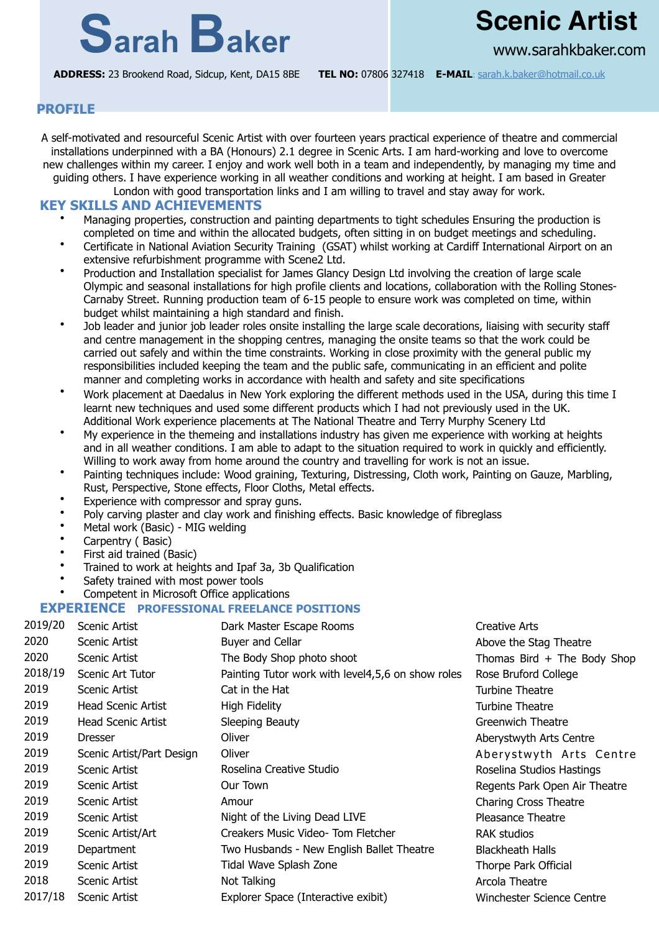# **Sarah Baker Scenic Artist**

www.sarahkbaker.com

**ADDRESS:** 23 Brookend Road, Sidcup, Kent, DA15 8BE **TEL NO:** 07806 327418 **E-MAIL**: [sarah.k.baker@hotmail.co.uk](mailto:sarah.k.baker@hotmail.co.uk)

# **PROFILE**

A self-motivated and resourceful Scenic Artist with over fourteen years practical experience of theatre and commercial installations underpinned with a BA (Honours) 2.1 degree in Scenic Arts. I am hard-working and love to overcome new challenges within my career. I enjoy and work well both in a team and independently, by managing my time and guiding others. I have experience working in all weather conditions and working at height. I am based in Greater London with good transportation links and I am willing to travel and stay away for work.

### **KEY SKILLS AND ACHIEVEMENTS**

- Managing properties, construction and painting departments to tight schedules Ensuring the production is completed on time and within the allocated budgets, often sitting in on budget meetings and scheduling.
- Certificate in National Aviation Security Training (GSAT) whilst working at Cardiff International Airport on an extensive refurbishment programme with Scene2 Ltd.
- Production and Installation specialist for James Glancy Design Ltd involving the creation of large scale Olympic and seasonal installations for high profile clients and locations, collaboration with the Rolling Stones-Carnaby Street. Running production team of 6-15 people to ensure work was completed on time, within budget whilst maintaining a high standard and finish.
- Job leader and junior job leader roles onsite installing the large scale decorations, liaising with security staff and centre management in the shopping centres, managing the onsite teams so that the work could be carried out safely and within the time constraints. Working in close proximity with the general public my responsibilities included keeping the team and the public safe, communicating in an efficient and polite manner and completing works in accordance with health and safety and site specifications
- Work placement at Daedalus in New York exploring the different methods used in the USA, during this time I learnt new techniques and used some different products which I had not previously used in the UK. Additional Work experience placements at The National Theatre and Terry Murphy Scenery Ltd
- My experience in the themeing and installations industry has given me experience with working at heights and in all weather conditions. I am able to adapt to the situation required to work in quickly and efficiently. Willing to work away from home around the country and travelling for work is not an issue.
- Painting techniques include: Wood graining, Texturing, Distressing, Cloth work, Painting on Gauze, Marbling, Rust, Perspective, Stone effects, Floor Cloths, Metal effects.
- Experience with compressor and spray guns.
- Poly carving plaster and clay work and finishing effects. Basic knowledge of fibreglass
- Metal work (Basic) MIG welding
- Carpentry ( Basic)
- First aid trained (Basic)
- Trained to work at heights and Ipaf 3a, 3b Qualification
- Safety trained with most power tools
- Competent in Microsoft Office applications

#### **EXPERIENCE PROFESSIONAL FREELANCE POSITIONS**

| 2019/20 | Scenic Artist             | Dark Master Escape Rooms                          | Creative Arts                 |  |
|---------|---------------------------|---------------------------------------------------|-------------------------------|--|
| 2020    | Scenic Artist             | Buyer and Cellar                                  | Above the Stag Theatre        |  |
| 2020    | Scenic Artist             | The Body Shop photo shoot                         | Thomas Bird $+$ The Body Shop |  |
| 2018/19 | Scenic Art Tutor          | Painting Tutor work with level4,5,6 on show roles | Rose Bruford College          |  |
| 2019    | Scenic Artist             | Cat in the Hat                                    | Turbine Theatre               |  |
| 2019    | Head Scenic Artist        | High Fidelity                                     | Turbine Theatre               |  |
| 2019    | Head Scenic Artist        | Sleeping Beauty                                   | Greenwich Theatre             |  |
| 2019    | Dresser                   | Oliver                                            | Aberystwyth Arts Centre       |  |
| 2019    | Scenic Artist/Part Design | Oliver                                            | Aberystwyth Arts Centre       |  |
| 2019    | Scenic Artist             | Roselina Creative Studio                          | Roselina Studios Hastings     |  |
| 2019    | Scenic Artist             | Our Town                                          | Regents Park Open Air Theatre |  |
| 2019    | Scenic Artist             | Amour                                             | <b>Charing Cross Theatre</b>  |  |
| 2019    | Scenic Artist             | Night of the Living Dead LIVE                     | Pleasance Theatre             |  |
| 2019    | Scenic Artist/Art         | Creakers Music Video- Tom Fletcher                | <b>RAK studios</b>            |  |
| 2019    | Department                | Two Husbands - New English Ballet Theatre         | <b>Blackheath Halls</b>       |  |
| 2019    | Scenic Artist             | Tidal Wave Splash Zone                            | Thorpe Park Official          |  |
| 2018    | Scenic Artist             | Not Talking                                       | Arcola Theatre                |  |
| 2017/18 | Scenic Artist             | Explorer Space (Interactive exibit)               | Winchester Science Centre     |  |
|         |                           |                                                   |                               |  |